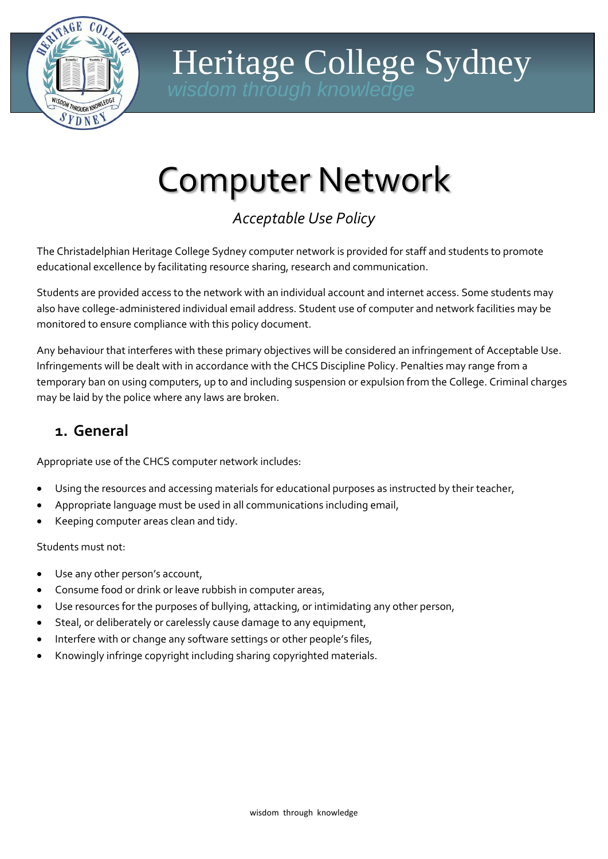

# Heritage College Sydney

# Computer Network

*Acceptable Use Policy* 

The Christadelphian Heritage College Sydney computer network is provided for staff and students to promote educational excellence by facilitating resource sharing, research and communication.

Students are provided access to the network with an individual account and internet access. Some students may also have college-administered individual email address. Student use of computer and network facilities may be monitored to ensure compliance with this policy document.

Any behaviour that interferes with these primary objectives will be considered an infringement of Acceptable Use. Infringements will be dealt with in accordance with the CHCS Discipline Policy. Penalties may range from a temporary ban on using computers, up to and including suspension or expulsion from the College. Criminal charges may be laid by the police where any laws are broken.

## **1. General**

Appropriate use of the CHCS computer network includes:

- Using the resources and accessing materials for educational purposes as instructed by their teacher,
- Appropriate language must be used in all communications including email,
- Keeping computer areas clean and tidy.

Students must not:

- Use any other person's account,
- Consume food or drink or leave rubbish in computer areas,
- Use resources for the purposes of bullying, attacking, or intimidating any other person,
- Steal, or deliberately or carelessly cause damage to any equipment,
- Interfere with or change any software settings or other people's files,
- Knowingly infringe copyright including sharing copyrighted materials.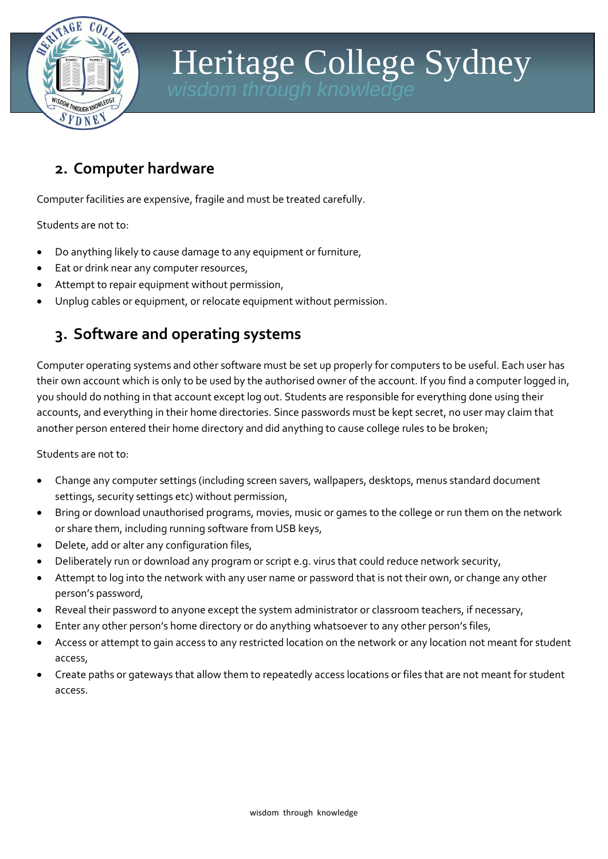

# Heritage College Sydney *wisdom through knowledge*

### **2. Computer hardware**

Computer facilities are expensive, fragile and must be treated carefully.

Students are not to:

- Do anything likely to cause damage to any equipment or furniture,
- Eat or drink near any computer resources,
- Attempt to repair equipment without permission,
- Unplug cables or equipment, or relocate equipment without permission.

### **3. Software and operating systems**

Computer operating systems and other software must be set up properly for computers to be useful. Each user has their own account which is only to be used by the authorised owner of the account. If you find a computer logged in, you should do nothing in that account except log out. Students are responsible for everything done using their accounts, and everything in their home directories. Since passwords must be kept secret, no user may claim that another person entered their home directory and did anything to cause college rules to be broken;

Students are not to:

- Change any computer settings (including screen savers, wallpapers, desktops, menus standard document settings, security settings etc) without permission,
- Bring or download unauthorised programs, movies, music or games to the college or run them on the network or share them, including running software from USB keys,
- Delete, add or alter any configuration files,
- Deliberately run or download any program or script e.g. virus that could reduce network security,
- Attempt to log into the network with any user name or password that is not their own, or change any other person's password,
- Reveal their password to anyone except the system administrator or classroom teachers, if necessary,
- Enter any other person's home directory or do anything whatsoever to any other person's files,
- Access or attempt to gain access to any restricted location on the network or any location not meant for student access,
- Create paths or gateways that allow them to repeatedly access locations or files that are not meant for student access.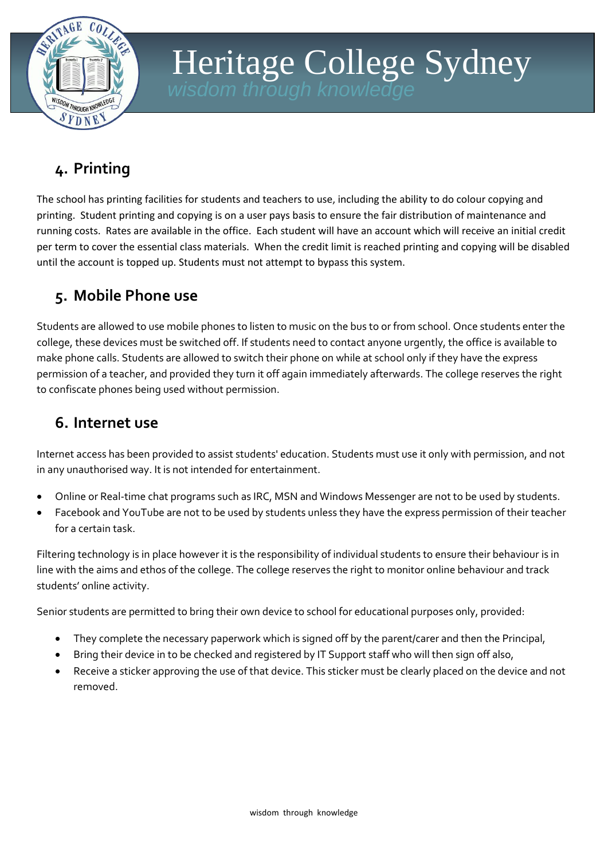

# Heritage College Sydney *wisdom through knowled*

# **4. Printing**

The school has printing facilities for students and teachers to use, including the ability to do colour copying and printing. Student printing and copying is on a user pays basis to ensure the fair distribution of maintenance and running costs. Rates are available in the office. Each student will have an account which will receive an initial credit per term to cover the essential class materials. When the credit limit is reached printing and copying will be disabled until the account is topped up. Students must not attempt to bypass this system.

# **5. Mobile Phone use**

Students are allowed to use mobile phones to listen to music on the bus to or from school. Once students enter the college, these devices must be switched off. If students need to contact anyone urgently, the office is available to make phone calls. Students are allowed to switch their phone on while at school only if they have the express permission of a teacher, and provided they turn it off again immediately afterwards. The college reserves the right to confiscate phones being used without permission.

### **6. Internet use**

Internet access has been provided to assist students' education. Students must use it only with permission, and not in any unauthorised way. It is not intended for entertainment.

- Online or Real-time chat programs such as IRC, MSN and Windows Messenger are not to be used by students.
- Facebook and YouTube are not to be used by students unless they have the express permission of their teacher for a certain task.

Filtering technology is in place however it is the responsibility of individual students to ensure their behaviour is in line with the aims and ethos of the college. The college reserves the right to monitor online behaviour and track students' online activity.

Senior students are permitted to bring their own device to school for educational purposes only, provided:

- They complete the necessary paperwork which is signed off by the parent/carer and then the Principal,
- Bring their device in to be checked and registered by IT Support staff who will then sign off also,
- Receive a sticker approving the use of that device. This sticker must be clearly placed on the device and not removed.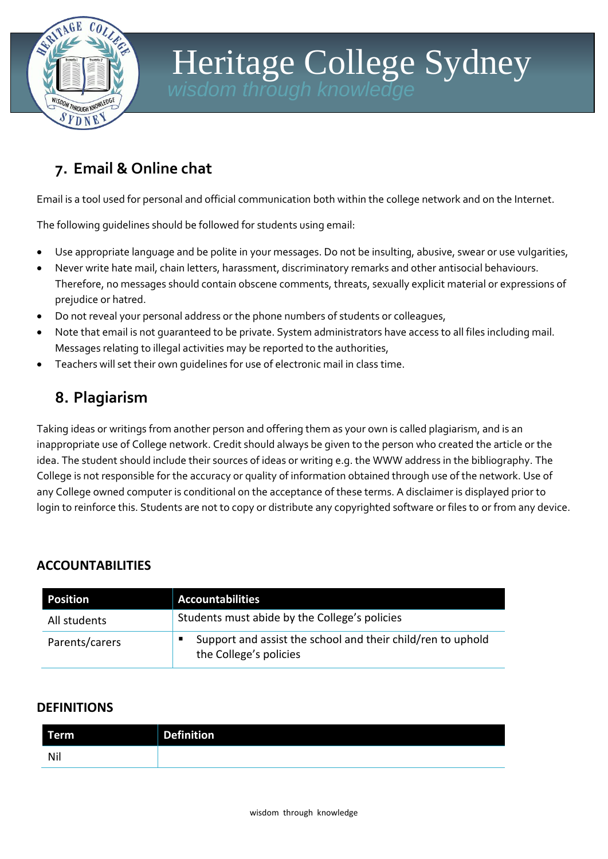

# Heritage College Sydney *wisdom through knowledge*

# **7. Email & Online chat**

Email is a tool used for personal and official communication both within the college network and on the Internet.

The following guidelines should be followed for students using email:

- Use appropriate language and be polite in your messages. Do not be insulting, abusive, swear or use vulgarities,
- Never write hate mail, chain letters, harassment, discriminatory remarks and other antisocial behaviours. Therefore, no messages should contain obscene comments, threats, sexually explicit material or expressions of prejudice or hatred.
- Do not reveal your personal address or the phone numbers of students or colleagues,
- Note that email is not guaranteed to be private. System administrators have access to all files including mail. Messages relating to illegal activities may be reported to the authorities,
- Teachers will set their own guidelines for use of electronic mail in class time.

## **8. Plagiarism**

Taking ideas or writings from another person and offering them as your own is called plagiarism, and is an inappropriate use of College network. Credit should always be given to the person who created the article or the idea. The student should include their sources of ideas or writing e.g. the WWW address in the bibliography. The College is not responsible for the accuracy or quality of information obtained through use of the network. Use of any College owned computer is conditional on the acceptance of these terms. A disclaimer is displayed prior to login to reinforce this. Students are not to copy or distribute any copyrighted software or files to or from any device.

### **ACCOUNTABILITIES**

| <b>Position</b> | <b>Accountabilities</b>                                                               |
|-----------------|---------------------------------------------------------------------------------------|
| All students    | Students must abide by the College's policies                                         |
| Parents/carers  | Support and assist the school and their child/ren to uphold<br>the College's policies |

### **DEFINITIONS**

| Term | <b>Definition</b> |
|------|-------------------|
| Nil  |                   |